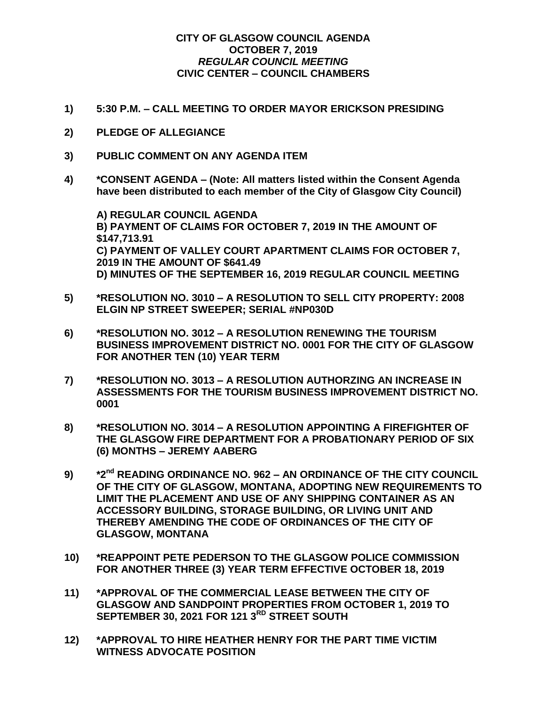## **CITY OF GLASGOW COUNCIL AGENDA OCTOBER 7, 2019** *REGULAR COUNCIL MEETING* **CIVIC CENTER – COUNCIL CHAMBERS**

- **1) 5:30 P.M. – CALL MEETING TO ORDER MAYOR ERICKSON PRESIDING**
- **2) PLEDGE OF ALLEGIANCE**
- **3) PUBLIC COMMENT ON ANY AGENDA ITEM**
- **4) \*CONSENT AGENDA – (Note: All matters listed within the Consent Agenda have been distributed to each member of the City of Glasgow City Council)**

**A) REGULAR COUNCIL AGENDA B) PAYMENT OF CLAIMS FOR OCTOBER 7, 2019 IN THE AMOUNT OF \$147,713.91 C) PAYMENT OF VALLEY COURT APARTMENT CLAIMS FOR OCTOBER 7, 2019 IN THE AMOUNT OF \$641.49 D) MINUTES OF THE SEPTEMBER 16, 2019 REGULAR COUNCIL MEETING**

- **5) \*RESOLUTION NO. 3010 – A RESOLUTION TO SELL CITY PROPERTY: 2008 ELGIN NP STREET SWEEPER; SERIAL #NP030D**
- **6) \*RESOLUTION NO. 3012 – A RESOLUTION RENEWING THE TOURISM BUSINESS IMPROVEMENT DISTRICT NO. 0001 FOR THE CITY OF GLASGOW FOR ANOTHER TEN (10) YEAR TERM**
- **7) \*RESOLUTION NO. 3013 – A RESOLUTION AUTHORZING AN INCREASE IN ASSESSMENTS FOR THE TOURISM BUSINESS IMPROVEMENT DISTRICT NO. 0001**
- **8) \*RESOLUTION NO. 3014 – A RESOLUTION APPOINTING A FIREFIGHTER OF THE GLASGOW FIRE DEPARTMENT FOR A PROBATIONARY PERIOD OF SIX (6) MONTHS – JEREMY AABERG**
- **9) \*2nd READING ORDINANCE NO. 962 – AN ORDINANCE OF THE CITY COUNCIL OF THE CITY OF GLASGOW, MONTANA, ADOPTING NEW REQUIREMENTS TO LIMIT THE PLACEMENT AND USE OF ANY SHIPPING CONTAINER AS AN ACCESSORY BUILDING, STORAGE BUILDING, OR LIVING UNIT AND THEREBY AMENDING THE CODE OF ORDINANCES OF THE CITY OF GLASGOW, MONTANA**
- **10) \*REAPPOINT PETE PEDERSON TO THE GLASGOW POLICE COMMISSION FOR ANOTHER THREE (3) YEAR TERM EFFECTIVE OCTOBER 18, 2019**
- **11) \*APPROVAL OF THE COMMERCIAL LEASE BETWEEN THE CITY OF GLASGOW AND SANDPOINT PROPERTIES FROM OCTOBER 1, 2019 TO SEPTEMBER 30, 2021 FOR 121 3RD STREET SOUTH**
- **12) \*APPROVAL TO HIRE HEATHER HENRY FOR THE PART TIME VICTIM WITNESS ADVOCATE POSITION**